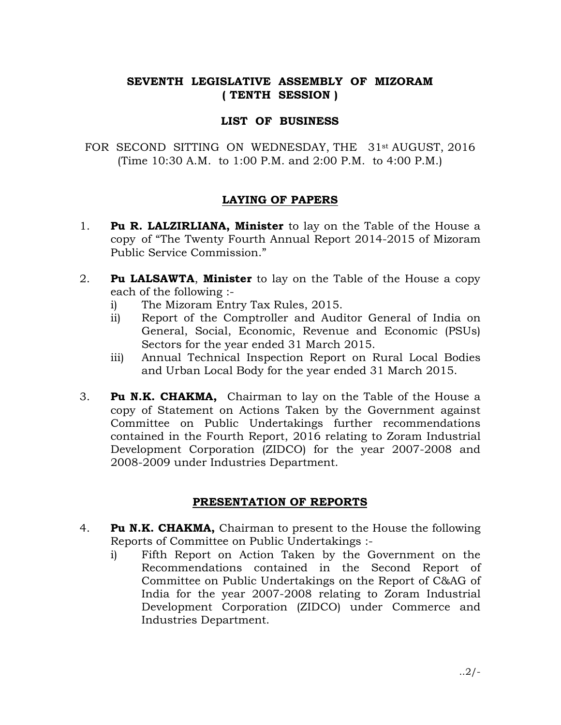# SEVENTH LEGISLATIVE ASSEMBLY OF MIZORAM ( TENTH SESSION )

## LIST OF BUSINESS

FOR SECOND SITTING ON WEDNESDAY, THE 31st AUGUST, 2016 (Time 10:30 A.M. to 1:00 P.M. and 2:00 P.M. to 4:00 P.M.)

### LAYING OF PAPERS

- 1. Pu R. LALZIRLIANA, Minister to lay on the Table of the House a copy of "The Twenty Fourth Annual Report 2014-2015 of Mizoram Public Service Commission."
- 2. **Pu LALSAWTA, Minister** to lay on the Table of the House a copy each of the following :
	- i) The Mizoram Entry Tax Rules, 2015.
	- ii) Report of the Comptroller and Auditor General of India on General, Social, Economic, Revenue and Economic (PSUs) Sectors for the year ended 31 March 2015.
	- iii) Annual Technical Inspection Report on Rural Local Bodies and Urban Local Body for the year ended 31 March 2015.
- 3. Pu N.K. CHAKMA, Chairman to lay on the Table of the House a copy of Statement on Actions Taken by the Government against Committee on Public Undertakings further recommendations contained in the Fourth Report, 2016 relating to Zoram Industrial Development Corporation (ZIDCO) for the year 2007-2008 and 2008-2009 under Industries Department.

#### PRESENTATION OF REPORTS

- 4. **Pu N.K. CHAKMA,** Chairman to present to the House the following Reports of Committee on Public Undertakings :
	- i) Fifth Report on Action Taken by the Government on the Recommendations contained in the Second Report of Committee on Public Undertakings on the Report of C&AG of India for the year 2007-2008 relating to Zoram Industrial Development Corporation (ZIDCO) under Commerce and Industries Department.